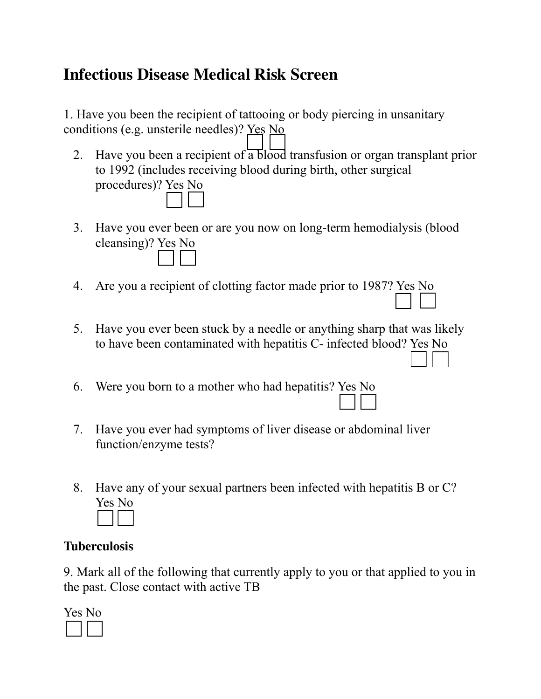# **Infectious Disease Medical Risk Screen**

1. Have you been the recipient of tattooing or body piercing in unsanitary conditions (e.g. unsterile needles)? Yes No

- 2. Have you been a recipient of a blood transfusion or organ transplant prior to 1992 (includes receiving blood during birth, other surgical procedures)? Yes No
- 3. Have you ever been or are you now on long-term hemodialysis (blood cleansing)? Yes No
- 4. Are you a recipient of clotting factor made prior to 1987? Yes No
- 5. Have you ever been stuck by a needle or anything sharp that was likely to have been contaminated with hepatitis C- infected blood? Yes No
- 6. Were you born to a mother who had hepatitis? Yes No
- 7. Have you ever had symptoms of liver disease or abdominal liver function/enzyme tests?
- 8. Have any of your sexual partners been infected with hepatitis B or C? Yes No

#### **Tuberculosis**

9. Mark all of the following that currently apply to you or that applied to you in the past. Close contact with active TB

| 3<br>-5 |  |
|---------|--|
|         |  |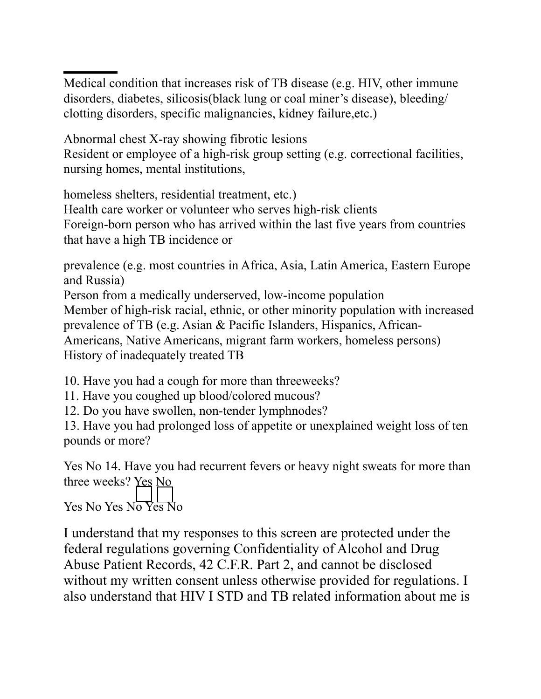Medical condition that increases risk of TB disease (e.g. HIV, other immune disorders, diabetes, silicosis(black lung or coal miner's disease), bleeding/ clotting disorders, specific malignancies, kidney failure,etc.)

Abnormal chest X-ray showing fibrotic lesions Resident or employee of a high-risk group setting (e.g. correctional facilities, nursing homes, mental institutions,

homeless shelters, residential treatment, etc.) Health care worker or volunteer who serves high-risk clients Foreign-born person who has arrived within the last five years from countries that have a high TB incidence or

prevalence (e.g. most countries in Africa, Asia, Latin America, Eastern Europe and Russia)

Person from a medically underserved, low-income population Member of high-risk racial, ethnic, or other minority population with increased prevalence of TB (e.g. Asian & Pacific Islanders, Hispanics, African-Americans, Native Americans, migrant farm workers, homeless persons) History of inadequately treated TB

10. Have you had a cough for more than threeweeks?

11. Have you coughed up blood/colored mucous?

12. Do you have swollen, non-tender lymphnodes?

13. Have you had prolonged loss of appetite or unexplained weight loss of ten pounds or more?

Yes No 14. Have you had recurrent fevers or heavy night sweats for more than three weeks? Yes No Yes No Yes No Yes No

I understand that my responses to this screen are protected under the federal regulations governing Confidentiality of Alcohol and Drug Abuse Patient Records, 42 C.F.R. Part 2, and cannot be disclosed without my written consent unless otherwise provided for regulations. I also understand that HIV I STD and TB related information about me is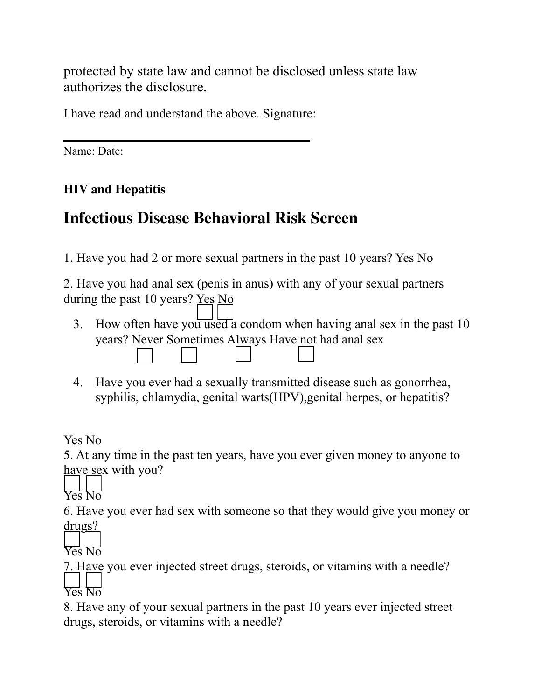protected by state law and cannot be disclosed unless state law authorizes the disclosure.

I have read and understand the above. Signature:

Name: Date:

### **HIV and Hepatitis**

# **Infectious Disease Behavioral Risk Screen**

1. Have you had 2 or more sexual partners in the past 10 years? Yes No

2. Have you had anal sex (penis in anus) with any of your sexual partners during the past 10 years? Yes No

- 3. How often have you used a condom when having anal sex in the past 10 years? Never Sometimes Always Have not had anal sex
- 4. Have you ever had a sexually transmitted disease such as gonorrhea, syphilis, chlamydia, genital warts(HPV),genital herpes, or hepatitis?

Yes No

5. At any time in the past ten years, have you ever given money to anyone to have sex with you?

Yes No

6. Have you ever had sex with someone so that they would give you money or drugs?

Yes No

7. Have you ever injected street drugs, steroids, or vitamins with a needle? Yes No

8. Have any of your sexual partners in the past 10 years ever injected street drugs, steroids, or vitamins with a needle?